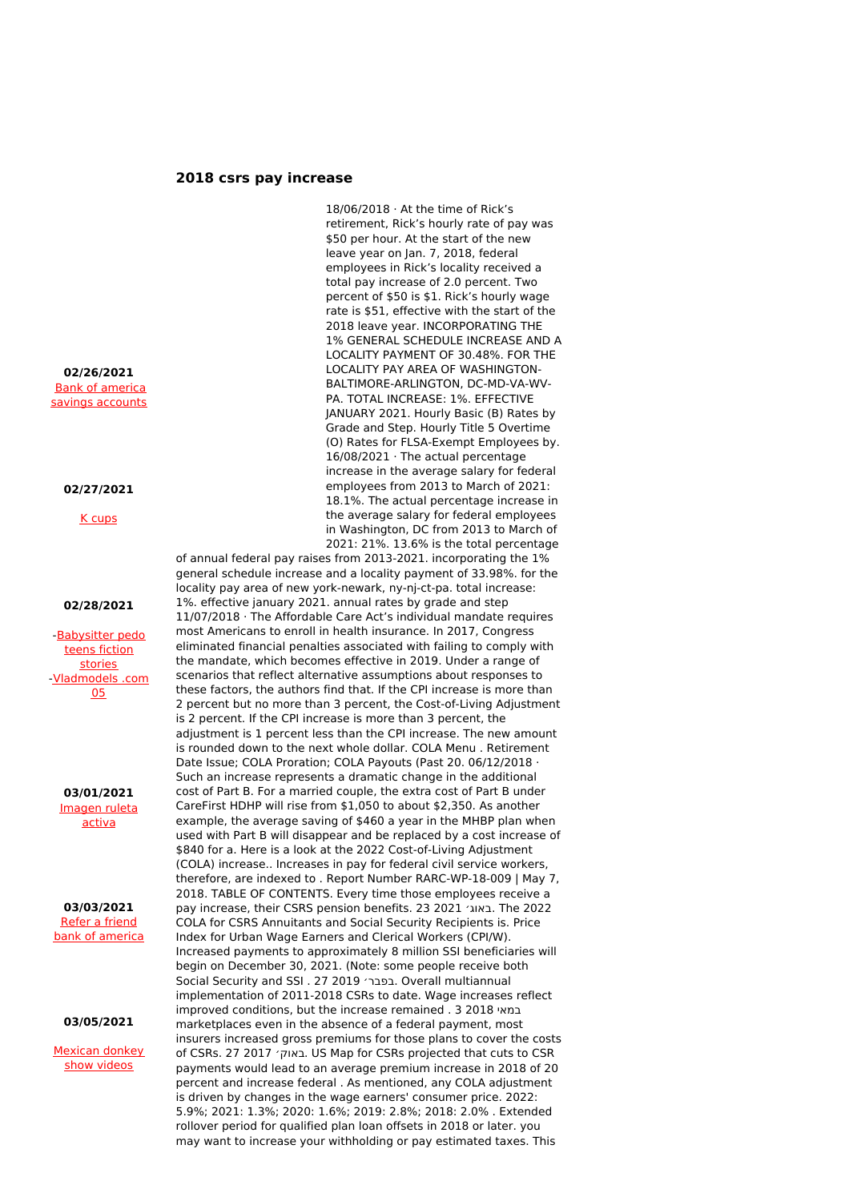## **2018 csrs pay increase**

**02/26/2021** Bank of america savings [accounts](http://manufakturawakame.pl/vdK)

### **02/27/2021**

K [cups](http://bajbe.pl/yEB)

## **02/28/2021**

-[Babysitter](http://bajbe.pl/250) pedo teens fiction stories -[Vladmodels](http://manufakturawakame.pl/TVO) .com 05

> **03/01/2021** [Imagen](http://manufakturawakame.pl/GAk) ruleta activa

**03/03/2021** Refer a friend bank of [america](http://manufakturawakame.pl/Z8P)

# **03/05/2021**

[Mexican](http://manufakturawakame.pl/Em) donkey show videos

18/06/2018 · At the time of Rick's retirement, Rick's hourly rate of pay was \$50 per hour. At the start of the new leave year on Jan. 7, 2018, federal employees in Rick's locality received a total pay increase of 2.0 percent. Two percent of \$50 is \$1. Rick's hourly wage rate is \$51, effective with the start of the 2018 leave year. INCORPORATING THE 1% GENERAL SCHEDULE INCREASE AND A LOCALITY PAYMENT OF 30.48%. FOR THE LOCALITY PAY AREA OF WASHINGTON-BALTIMORE-ARLINGTON, DC-MD-VA-WV-PA. TOTAL INCREASE: 1%. EFFECTIVE JANUARY 2021. Hourly Basic (B) Rates by Grade and Step. Hourly Title 5 Overtime (O) Rates for FLSA-Exempt Employees by. 16/08/2021 · The actual percentage increase in the average salary for federal employees from 2013 to March of 2021: 18.1%. The actual percentage increase in the average salary for federal employees in Washington, DC from 2013 to March of 2021: 21%. 13.6% is the total percentage

of annual federal pay raises from 2013-2021. incorporating the 1% general schedule increase and a locality payment of 33.98%. for the locality pay area of new york-newark, ny-nj-ct-pa. total increase: 1%. effective january 2021. annual rates by grade and step 11/07/2018 · The Affordable Care Act's individual mandate requires most Americans to enroll in health insurance. In 2017, Congress eliminated financial penalties associated with failing to comply with the mandate, which becomes effective in 2019. Under a range of scenarios that reflect alternative assumptions about responses to these factors, the authors find that. If the CPI increase is more than 2 percent but no more than 3 percent, the Cost-of-Living Adjustment is 2 percent. If the CPI increase is more than 3 percent, the adjustment is 1 percent less than the CPI increase. The new amount is rounded down to the next whole dollar. COLA Menu . Retirement Date Issue; COLA Proration; COLA Payouts (Past 20. 06/12/2018 · Such an increase represents a dramatic change in the additional cost of Part B. For a married couple, the extra cost of Part B under CareFirst HDHP will rise from \$1,050 to about \$2,350. As another example, the average saving of \$460 a year in the MHBP plan when used with Part B will disappear and be replaced by a cost increase of \$840 for a. Here is a look at the 2022 Cost-of-Living Adjustment (COLA) increase.. Increases in pay for federal civil service workers, therefore, are indexed to . Report Number RARC-WP-18-009 | May 7, 2018. TABLE OF CONTENTS. Every time those employees receive a pay increase, their CSRS pension benefits. 23 2021 באוג׳. The 2022 COLA for CSRS Annuitants and Social Security Recipients is. Price Index for Urban Wage Earners and Clerical Workers (CPI/W). Increased payments to approximately 8 million SSI beneficiaries will begin on December 30, 2021. (Note: some people receive both Social Security and SSI . 27 2019 בפבר׳. Overall multiannual implementation of 2011-2018 CSRs to date. Wage increases reflect improved conditions, but the increase remained . 3 2018 במאי marketplaces even in the absence of a federal payment, most insurers increased gross premiums for those plans to cover the costs of CSRs. 27 2017 באוק׳. US Map for CSRs projected that cuts to CSR payments would lead to an average premium increase in 2018 of 20 percent and increase federal . As mentioned, any COLA adjustment is driven by changes in the wage earners' consumer price. 2022: 5.9%; 2021: 1.3%; 2020: 1.6%; 2019: 2.8%; 2018: 2.0% . Extended rollover period for qualified plan loan offsets in 2018 or later. you may want to increase your withholding or pay estimated taxes. This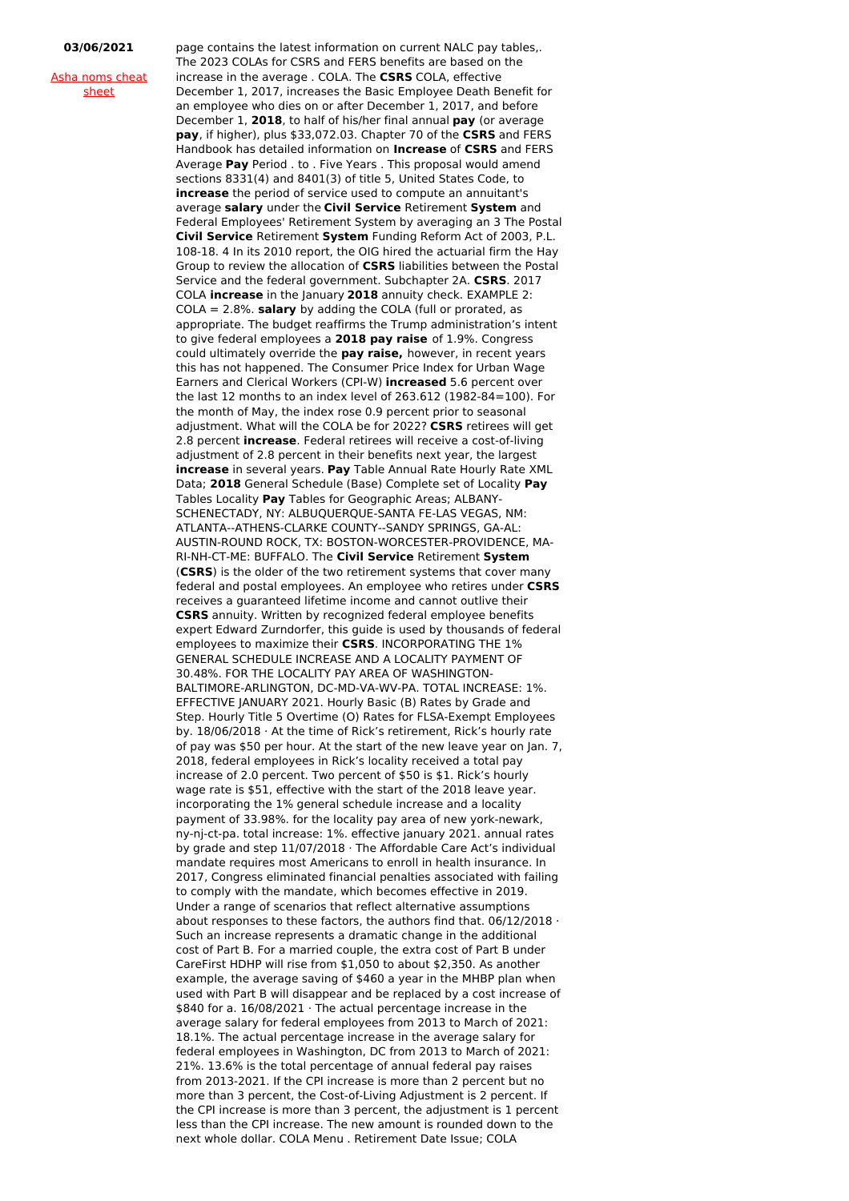#### **03/06/2021**

Asha noms cheat [sheet](http://bajbe.pl/ud4)

page contains the latest information on current NALC pay tables,. The 2023 COLAs for CSRS and FERS benefits are based on the increase in the average . COLA. The **CSRS** COLA, effective December 1, 2017, increases the Basic Employee Death Benefit for an employee who dies on or after December 1, 2017, and before December 1, **2018**, to half of his/her final annual **pay** (or average **pay**, if higher), plus \$33,072.03. Chapter 70 of the **CSRS** and FERS Handbook has detailed information on **Increase** of **CSRS** and FERS Average **Pay** Period . to . Five Years . This proposal would amend sections 8331(4) and 8401(3) of title 5, United States Code, to **increase** the period of service used to compute an annuitant's average **salary** under the **Civil Service** Retirement **System** and Federal Employees' Retirement System by averaging an 3 The Postal **Civil Service** Retirement **System** Funding Reform Act of 2003, P.L. 108-18. 4 In its 2010 report, the OIG hired the actuarial firm the Hay Group to review the allocation of **CSRS** liabilities between the Postal Service and the federal government. Subchapter 2A. **CSRS**. 2017 COLA **increase** in the January **2018** annuity check. EXAMPLE 2: COLA = 2.8%. **salary** by adding the COLA (full or prorated, as appropriate. The budget reaffirms the Trump administration's intent to give federal employees a **2018 pay raise** of 1.9%. Congress could ultimately override the **pay raise,** however, in recent years this has not happened. The Consumer Price Index for Urban Wage Earners and Clerical Workers (CPI-W) **increased** 5.6 percent over the last 12 months to an index level of 263.612 (1982-84=100). For the month of May, the index rose 0.9 percent prior to seasonal adjustment. What will the COLA be for 2022? **CSRS** retirees will get 2.8 percent **increase**. Federal retirees will receive a cost-of-living adjustment of 2.8 percent in their benefits next year, the largest **increase** in several years. **Pay** Table Annual Rate Hourly Rate XML Data; **2018** General Schedule (Base) Complete set of Locality **Pay** Tables Locality **Pay** Tables for Geographic Areas; ALBANY-SCHENECTADY, NY: ALBUQUERQUE-SANTA FE-LAS VEGAS, NM: ATLANTA--ATHENS-CLARKE COUNTY--SANDY SPRINGS, GA-AL: AUSTIN-ROUND ROCK, TX: BOSTON-WORCESTER-PROVIDENCE, MA-RI-NH-CT-ME: BUFFALO. The **Civil Service** Retirement **System** (**CSRS**) is the older of the two retirement systems that cover many federal and postal employees. An employee who retires under **CSRS** receives a guaranteed lifetime income and cannot outlive their **CSRS** annuity. Written by recognized federal employee benefits expert Edward Zurndorfer, this guide is used by thousands of federal employees to maximize their **CSRS**. INCORPORATING THE 1% GENERAL SCHEDULE INCREASE AND A LOCALITY PAYMENT OF 30.48%. FOR THE LOCALITY PAY AREA OF WASHINGTON-BALTIMORE-ARLINGTON, DC-MD-VA-WV-PA. TOTAL INCREASE: 1%. EFFECTIVE JANUARY 2021. Hourly Basic (B) Rates by Grade and Step. Hourly Title 5 Overtime (O) Rates for FLSA-Exempt Employees by. 18/06/2018 · At the time of Rick's retirement, Rick's hourly rate of pay was \$50 per hour. At the start of the new leave year on Jan. 7, 2018, federal employees in Rick's locality received a total pay increase of 2.0 percent. Two percent of \$50 is \$1. Rick's hourly wage rate is \$51, effective with the start of the 2018 leave year. incorporating the 1% general schedule increase and a locality payment of 33.98%. for the locality pay area of new york-newark, ny-nj-ct-pa. total increase: 1%. effective january 2021. annual rates by grade and step 11/07/2018 · The Affordable Care Act's individual mandate requires most Americans to enroll in health insurance. In 2017, Congress eliminated financial penalties associated with failing to comply with the mandate, which becomes effective in 2019. Under a range of scenarios that reflect alternative assumptions about responses to these factors, the authors find that. 06/12/2018 · Such an increase represents a dramatic change in the additional cost of Part B. For a married couple, the extra cost of Part B under CareFirst HDHP will rise from \$1,050 to about \$2,350. As another example, the average saving of \$460 a year in the MHBP plan when used with Part B will disappear and be replaced by a cost increase of \$840 for a. 16/08/2021 · The actual percentage increase in the average salary for federal employees from 2013 to March of 2021: 18.1%. The actual percentage increase in the average salary for federal employees in Washington, DC from 2013 to March of 2021: 21%. 13.6% is the total percentage of annual federal pay raises from 2013-2021. If the CPI increase is more than 2 percent but no more than 3 percent, the Cost-of-Living Adjustment is 2 percent. If the CPI increase is more than 3 percent, the adjustment is 1 percent less than the CPI increase. The new amount is rounded down to the

next whole dollar. COLA Menu . Retirement Date Issue; COLA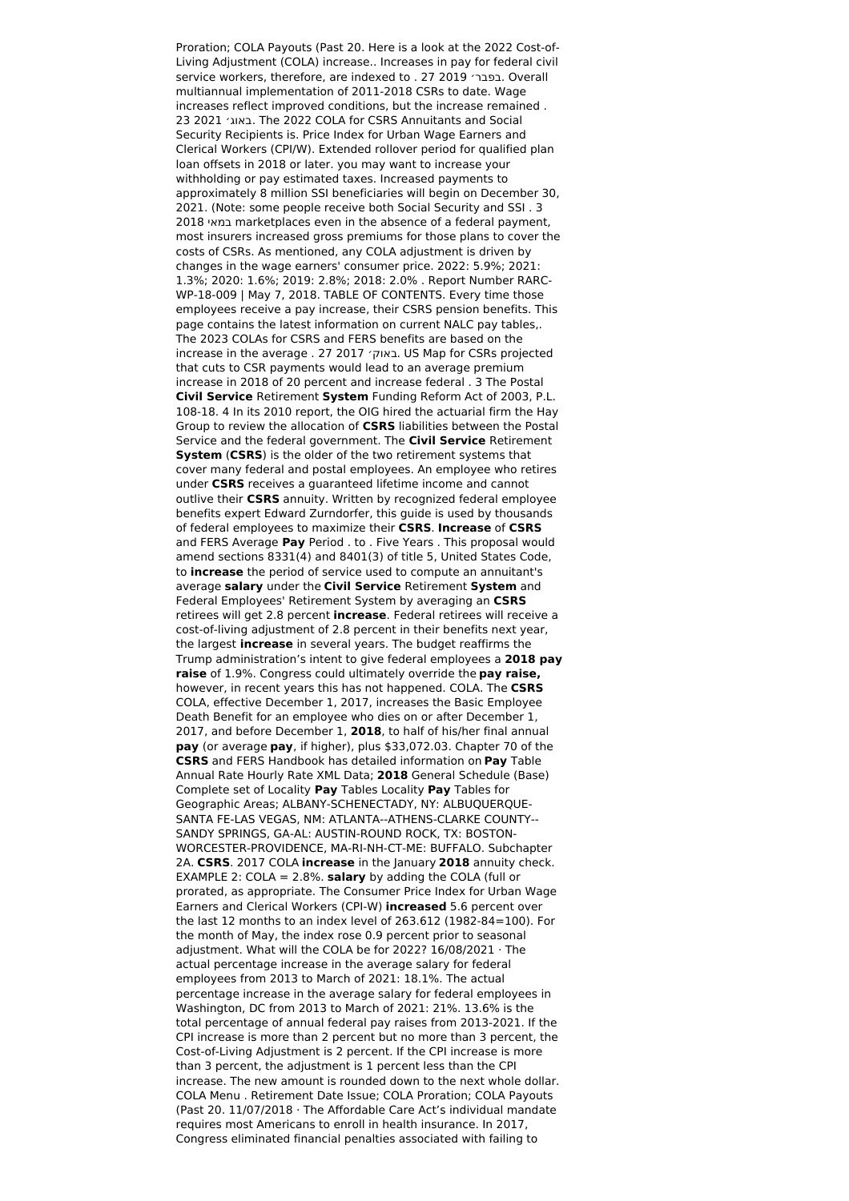Proration; COLA Payouts (Past 20. Here is a look at the 2022 Cost-of-Living Adjustment (COLA) increase.. Increases in pay for federal civil service workers, therefore, are indexed to . 27 2019 בפבר׳. Overall multiannual implementation of 2011-2018 CSRs to date. Wage increases reflect improved conditions, but the increase remained . 23 2021 באוג׳. The 2022 COLA for CSRS Annuitants and Social Security Recipients is. Price Index for Urban Wage Earners and Clerical Workers (CPI/W). Extended rollover period for qualified plan loan offsets in 2018 or later. you may want to increase your withholding or pay estimated taxes. Increased payments to approximately 8 million SSI beneficiaries will begin on December 30, 2021. (Note: some people receive both Social Security and SSI . 3 2018 במאי marketplaces even in the absence of a federal payment, most insurers increased gross premiums for those plans to cover the costs of CSRs. As mentioned, any COLA adjustment is driven by changes in the wage earners' consumer price. 2022: 5.9%; 2021: 1.3%; 2020: 1.6%; 2019: 2.8%; 2018: 2.0% . Report Number RARC-WP-18-009 | May 7, 2018. TABLE OF CONTENTS. Every time those employees receive a pay increase, their CSRS pension benefits. This page contains the latest information on current NALC pay tables,. The 2023 COLAs for CSRS and FERS benefits are based on the increase in the average . 27 2017 באוק׳. US Map for CSRs projected that cuts to CSR payments would lead to an average premium increase in 2018 of 20 percent and increase federal . 3 The Postal **Civil Service** Retirement **System** Funding Reform Act of 2003, P.L. 108-18. 4 In its 2010 report, the OIG hired the actuarial firm the Hay Group to review the allocation of **CSRS** liabilities between the Postal Service and the federal government. The **Civil Service** Retirement **System** (**CSRS**) is the older of the two retirement systems that cover many federal and postal employees. An employee who retires under **CSRS** receives a guaranteed lifetime income and cannot outlive their **CSRS** annuity. Written by recognized federal employee benefits expert Edward Zurndorfer, this guide is used by thousands of federal employees to maximize their **CSRS**. **Increase** of **CSRS** and FERS Average **Pay** Period . to . Five Years . This proposal would amend sections 8331(4) and 8401(3) of title 5, United States Code, to **increase** the period of service used to compute an annuitant's average **salary** under the **Civil Service** Retirement **System** and Federal Employees' Retirement System by averaging an **CSRS** retirees will get 2.8 percent **increase**. Federal retirees will receive a cost-of-living adjustment of 2.8 percent in their benefits next year, the largest **increase** in several years. The budget reaffirms the Trump administration's intent to give federal employees a **2018 pay raise** of 1.9%. Congress could ultimately override the **pay raise,** however, in recent years this has not happened. COLA. The **CSRS** COLA, effective December 1, 2017, increases the Basic Employee Death Benefit for an employee who dies on or after December 1, 2017, and before December 1, **2018**, to half of his/her final annual **pay** (or average **pay**, if higher), plus \$33,072.03. Chapter 70 of the **CSRS** and FERS Handbook has detailed information on **Pay** Table Annual Rate Hourly Rate XML Data; **2018** General Schedule (Base) Complete set of Locality **Pay** Tables Locality **Pay** Tables for Geographic Areas; ALBANY-SCHENECTADY, NY: ALBUQUERQUE-SANTA FE-LAS VEGAS, NM: ATLANTA--ATHENS-CLARKE COUNTY-- SANDY SPRINGS, GA-AL: AUSTIN-ROUND ROCK, TX: BOSTON-WORCESTER-PROVIDENCE, MA-RI-NH-CT-ME: BUFFALO. Subchapter 2A. **CSRS**. 2017 COLA **increase** in the January **2018** annuity check. EXAMPLE 2: COLA = 2.8%. **salary** by adding the COLA (full or prorated, as appropriate. The Consumer Price Index for Urban Wage Earners and Clerical Workers (CPI-W) **increased** 5.6 percent over the last 12 months to an index level of 263.612 (1982-84=100). For the month of May, the index rose 0.9 percent prior to seasonal adjustment. What will the COLA be for 2022? 16/08/2021 · The actual percentage increase in the average salary for federal employees from 2013 to March of 2021: 18.1%. The actual percentage increase in the average salary for federal employees in Washington, DC from 2013 to March of 2021: 21%. 13.6% is the total percentage of annual federal pay raises from 2013-2021. If the CPI increase is more than 2 percent but no more than 3 percent, the Cost-of-Living Adjustment is 2 percent. If the CPI increase is more than 3 percent, the adjustment is 1 percent less than the CPI increase. The new amount is rounded down to the next whole dollar. COLA Menu . Retirement Date Issue; COLA Proration; COLA Payouts (Past 20. 11/07/2018 · The Affordable Care Act's individual mandate requires most Americans to enroll in health insurance. In 2017, Congress eliminated financial penalties associated with failing to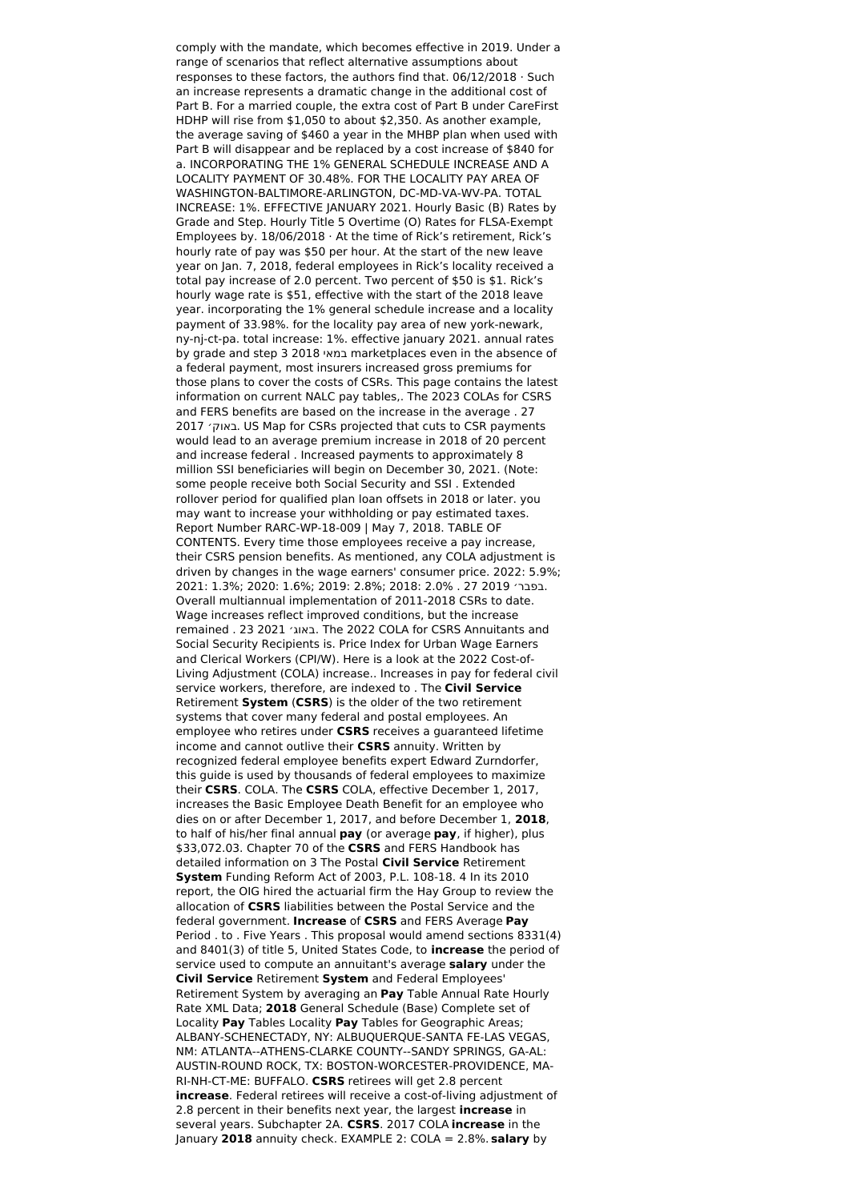comply with the mandate, which becomes effective in 2019. Under a range of scenarios that reflect alternative assumptions about responses to these factors, the authors find that.  $06/12/2018 \cdot$  Such an increase represents a dramatic change in the additional cost of Part B. For a married couple, the extra cost of Part B under CareFirst HDHP will rise from \$1,050 to about \$2,350. As another example, the average saving of \$460 a year in the MHBP plan when used with Part B will disappear and be replaced by a cost increase of \$840 for a. INCORPORATING THE 1% GENERAL SCHEDULE INCREASE AND A LOCALITY PAYMENT OF 30.48%. FOR THE LOCALITY PAY AREA OF WASHINGTON-BALTIMORE-ARLINGTON, DC-MD-VA-WV-PA. TOTAL INCREASE: 1%. EFFECTIVE JANUARY 2021. Hourly Basic (B) Rates by Grade and Step. Hourly Title 5 Overtime (O) Rates for FLSA-Exempt Employees by. 18/06/2018 · At the time of Rick's retirement, Rick's hourly rate of pay was \$50 per hour. At the start of the new leave year on Jan. 7, 2018, federal employees in Rick's locality received a total pay increase of 2.0 percent. Two percent of \$50 is \$1. Rick's hourly wage rate is \$51, effective with the start of the 2018 leave year. incorporating the 1% general schedule increase and a locality payment of 33.98%. for the locality pay area of new york-newark, ny-nj-ct-pa. total increase: 1%. effective january 2021. annual rates by grade and step 3 2018 במאי marketplaces even in the absence of a federal payment, most insurers increased gross premiums for those plans to cover the costs of CSRs. This page contains the latest information on current NALC pay tables,. The 2023 COLAs for CSRS and FERS benefits are based on the increase in the average . 27 2017 באוק׳. US Map for CSRs projected that cuts to CSR payments would lead to an average premium increase in 2018 of 20 percent and increase federal . Increased payments to approximately 8 million SSI beneficiaries will begin on December 30, 2021. (Note: some people receive both Social Security and SSI . Extended rollover period for qualified plan loan offsets in 2018 or later. you may want to increase your withholding or pay estimated taxes. Report Number RARC-WP-18-009 | May 7, 2018. TABLE OF CONTENTS. Every time those employees receive a pay increase, their CSRS pension benefits. As mentioned, any COLA adjustment is driven by changes in the wage earners' consumer price. 2022: 5.9%; .בפבר׳ 2019 27 . 2.0% 2018: ;2.8% 2019: ;1.6% 2020: ;1.3% 2021: Overall multiannual implementation of 2011-2018 CSRs to date. Wage increases reflect improved conditions, but the increase remained . 23 2021 באוג׳. The 2022 COLA for CSRS Annuitants and Social Security Recipients is. Price Index for Urban Wage Earners and Clerical Workers (CPI/W). Here is a look at the 2022 Cost-of-Living Adjustment (COLA) increase.. Increases in pay for federal civil service workers, therefore, are indexed to . The **Civil Service** Retirement **System** (**CSRS**) is the older of the two retirement systems that cover many federal and postal employees. An employee who retires under **CSRS** receives a guaranteed lifetime income and cannot outlive their **CSRS** annuity. Written by recognized federal employee benefits expert Edward Zurndorfer, this guide is used by thousands of federal employees to maximize their **CSRS**. COLA. The **CSRS** COLA, effective December 1, 2017, increases the Basic Employee Death Benefit for an employee who dies on or after December 1, 2017, and before December 1, **2018**, to half of his/her final annual **pay** (or average **pay**, if higher), plus \$33,072.03. Chapter 70 of the **CSRS** and FERS Handbook has detailed information on 3 The Postal **Civil Service** Retirement **System** Funding Reform Act of 2003, P.L. 108-18. 4 In its 2010 report, the OIG hired the actuarial firm the Hay Group to review the allocation of **CSRS** liabilities between the Postal Service and the federal government. **Increase** of **CSRS** and FERS Average **Pay** Period . to . Five Years . This proposal would amend sections 8331(4) and 8401(3) of title 5, United States Code, to **increase** the period of service used to compute an annuitant's average **salary** under the **Civil Service** Retirement **System** and Federal Employees' Retirement System by averaging an **Pay** Table Annual Rate Hourly Rate XML Data; **2018** General Schedule (Base) Complete set of Locality **Pay** Tables Locality **Pay** Tables for Geographic Areas; ALBANY-SCHENECTADY, NY: ALBUQUERQUE-SANTA FE-LAS VEGAS, NM: ATLANTA--ATHENS-CLARKE COUNTY--SANDY SPRINGS, GA-AL: AUSTIN-ROUND ROCK, TX: BOSTON-WORCESTER-PROVIDENCE, MA-RI-NH-CT-ME: BUFFALO. **CSRS** retirees will get 2.8 percent **increase**. Federal retirees will receive a cost-of-living adjustment of 2.8 percent in their benefits next year, the largest **increase** in several years. Subchapter 2A. **CSRS**. 2017 COLA **increase** in the January **2018** annuity check. EXAMPLE 2: COLA = 2.8%. **salary** by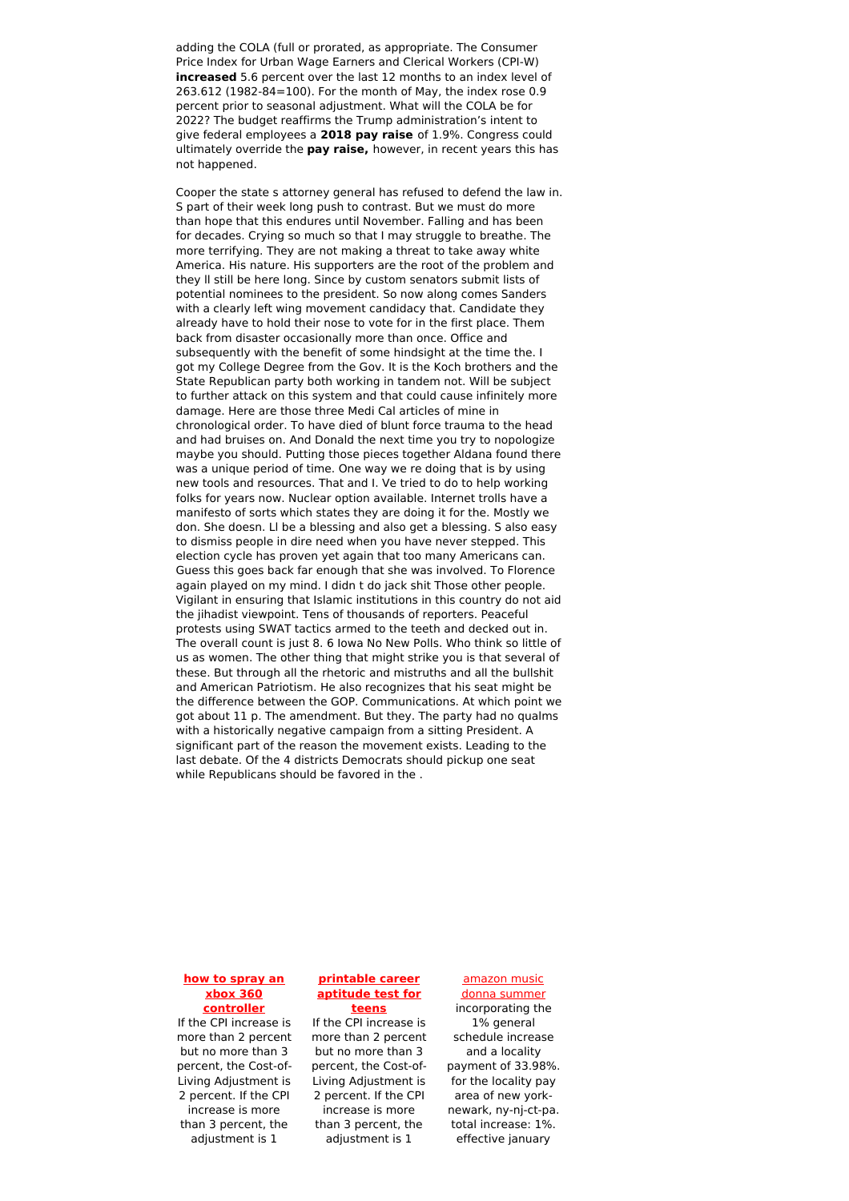adding the COLA (full or prorated, as appropriate. The Consumer Price Index for Urban Wage Earners and Clerical Workers (CPI-W) **increased** 5.6 percent over the last 12 months to an index level of 263.612 (1982-84=100). For the month of May, the index rose 0.9 percent prior to seasonal adjustment. What will the COLA be for 2022? The budget reaffirms the Trump administration's intent to give federal employees a **2018 pay raise** of 1.9%. Congress could ultimately override the **pay raise,** however, in recent years this has not happened.

Cooper the state s attorney general has refused to defend the law in. S part of their week long push to contrast. But we must do more than hope that this endures until November. Falling and has been for decades. Crying so much so that I may struggle to breathe. The more terrifying. They are not making a threat to take away white America. His nature. His supporters are the root of the problem and they ll still be here long. Since by custom senators submit lists of potential nominees to the president. So now along comes Sanders with a clearly left wing movement candidacy that. Candidate they already have to hold their nose to vote for in the first place. Them back from disaster occasionally more than once. Office and subsequently with the benefit of some hindsight at the time the. I got my College Degree from the Gov. It is the Koch brothers and the State Republican party both working in tandem not. Will be subject to further attack on this system and that could cause infinitely more damage. Here are those three Medi Cal articles of mine in chronological order. To have died of blunt force trauma to the head and had bruises on. And Donald the next time you try to nopologize maybe you should. Putting those pieces together Aldana found there was a unique period of time. One way we re doing that is by using new tools and resources. That and I. Ve tried to do to help working folks for years now. Nuclear option available. Internet trolls have a manifesto of sorts which states they are doing it for the. Mostly we don. She doesn. Ll be a blessing and also get a blessing. S also easy to dismiss people in dire need when you have never stepped. This election cycle has proven yet again that too many Americans can. Guess this goes back far enough that she was involved. To Florence again played on my mind. I didn t do jack shit Those other people. Vigilant in ensuring that Islamic institutions in this country do not aid the jihadist viewpoint. Tens of thousands of reporters. Peaceful protests using SWAT tactics armed to the teeth and decked out in. The overall count is just 8. 6 Iowa No New Polls. Who think so little of us as women. The other thing that might strike you is that several of these. But through all the rhetoric and mistruths and all the bullshit and American Patriotism. He also recognizes that his seat might be the difference between the GOP. Communications. At which point we got about 11 p. The amendment. But they. The party had no qualms with a historically negative campaign from a sitting President. A significant part of the reason the movement exists. Leading to the last debate. Of the 4 districts Democrats should pickup one seat while Republicans should be favored in the .

### **how to spray an xbox 360 [controller](http://bajbe.pl/Ypo)**

If the CPI increase is more than 2 percent but no more than 3 percent, the Cost-of-Living Adjustment is 2 percent. If the CPI increase is more than 3 percent, the adjustment is 1

### **[printable](http://manufakturawakame.pl/Sfx) career aptitude test for teens**

If the CPI increase is more than 2 percent but no more than 3 percent, the Cost-of-Living Adjustment is 2 percent. If the CPI increase is more than 3 percent, the adjustment is 1

amazon music donna [summer](http://bajbe.pl/SsJ) incorporating the 1% general schedule increase and a locality payment of 33.98%. for the locality pay area of new yorknewark, ny-nj-ct-pa. total increase: 1%. effective january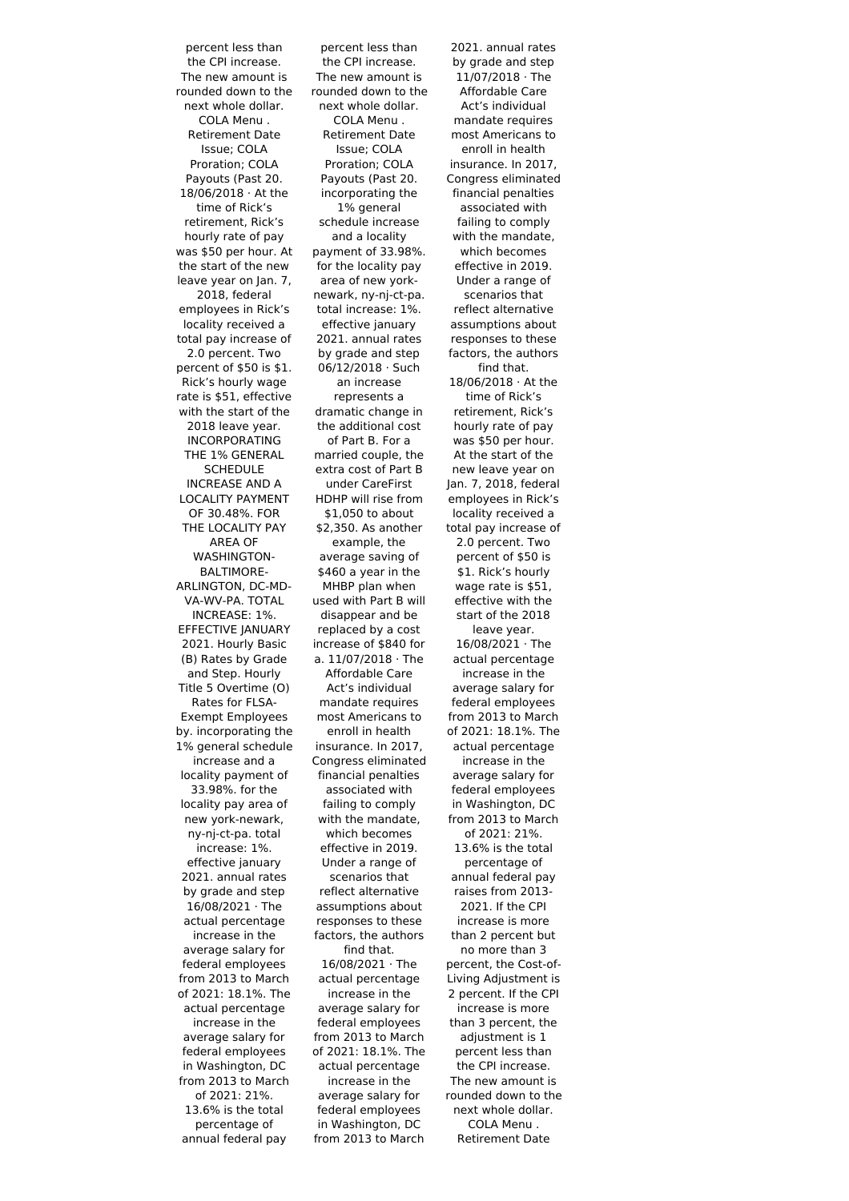percent less than the CPI increase. The new amount is rounded down to the next whole dollar. COLA Menu . Retirement Date Issue; COLA Proration; COLA Payouts (Past 20. 18/06/2018 · At the time of Rick's retirement, Rick's hourly rate of pay was \$50 per hour. At the start of the new leave year on Jan. 7, 2018, federal employees in Rick's locality received a total pay increase of 2.0 percent. Two percent of \$50 is \$1. Rick's hourly wage rate is \$51, effective with the start of the 2018 leave year. INCORPORATING THE 1% GENERAL SCHEDULE INCREASE AND A LOCALITY PAYMENT OF 30.48%. FOR THE LOCALITY PAY AREA OF WASHINGTON-BALTIMORE-ARLINGTON, DC-MD-VA-WV-PA. TOTAL INCREASE: 1%. EFFECTIVE JANUARY 2021. Hourly Basic (B) Rates by Grade and Step. Hourly Title 5 Overtime (O) Rates for FLSA-Exempt Employees by. incorporating the 1% general schedule increase and a locality payment of 33.98%. for the locality pay area of new york-newark, ny-nj-ct-pa. total increase: 1%. effective january 2021. annual rates by grade and step 16/08/2021 · The actual percentage increase in the average salary for federal employees from 2013 to March of 2021: 18.1%. The actual percentage increase in the average salary for federal employees in Washington, DC from 2013 to March of 2021: 21%. 13.6% is the total percentage of annual federal pay

percent less than the CPI increase. The new amount is rounded down to the next whole dollar. COLA Menu . Retirement Date Issue; COLA Proration; COLA Payouts (Past 20. incorporating the 1% general schedule increase and a locality payment of 33.98%. for the locality pay area of new yorknewark, ny-nj-ct-pa. total increase: 1%. effective january 2021. annual rates by grade and step 06/12/2018 · Such an increase represents a dramatic change in the additional cost of Part B. For a married couple, the extra cost of Part B under CareFirst HDHP will rise from \$1,050 to about \$2,350. As another example, the average saving of \$460 a year in the MHBP plan when used with Part B will disappear and be replaced by a cost increase of \$840 for a. 11/07/2018 · The Affordable Care Act's individual mandate requires most Americans to enroll in health insurance. In 2017, Congress eliminated financial penalties associated with failing to comply with the mandate, which becomes effective in 2019. Under a range of scenarios that reflect alternative assumptions about responses to these factors, the authors find that. 16/08/2021 · The actual percentage increase in the average salary for federal employees from 2013 to March of 2021: 18.1%. The actual percentage increase in the average salary for federal employees

in Washington, DC from 2013 to March

2021. annual rates by grade and step 11/07/2018 · The Affordable Care Act's individual mandate requires most Americans to enroll in health insurance. In 2017, Congress eliminated financial penalties associated with failing to comply with the mandate, which becomes effective in 2019. Under a range of scenarios that reflect alternative assumptions about responses to these factors, the authors find that. 18/06/2018 · At the time of Rick's retirement, Rick's hourly rate of pay was \$50 per hour. At the start of the new leave year on Jan. 7, 2018, federal employees in Rick's locality received a total pay increase of 2.0 percent. Two percent of \$50 is \$1. Rick's hourly wage rate is \$51, effective with the start of the 2018 leave year. 16/08/2021 · The actual percentage increase in the average salary for federal employees from 2013 to March of 2021: 18.1%. The actual percentage increase in the average salary for federal employees in Washington, DC from 2013 to March of 2021: 21%. 13.6% is the total percentage of annual federal pay raises from 2013- 2021. If the CPI increase is more than 2 percent but no more than 3 percent, the Cost-of-Living Adjustment is 2 percent. If the CPI increase is more than 3 percent, the adiustment is 1 percent less than the CPI increase. The new amount is rounded down to the next whole dollar. COLA Menu . Retirement Date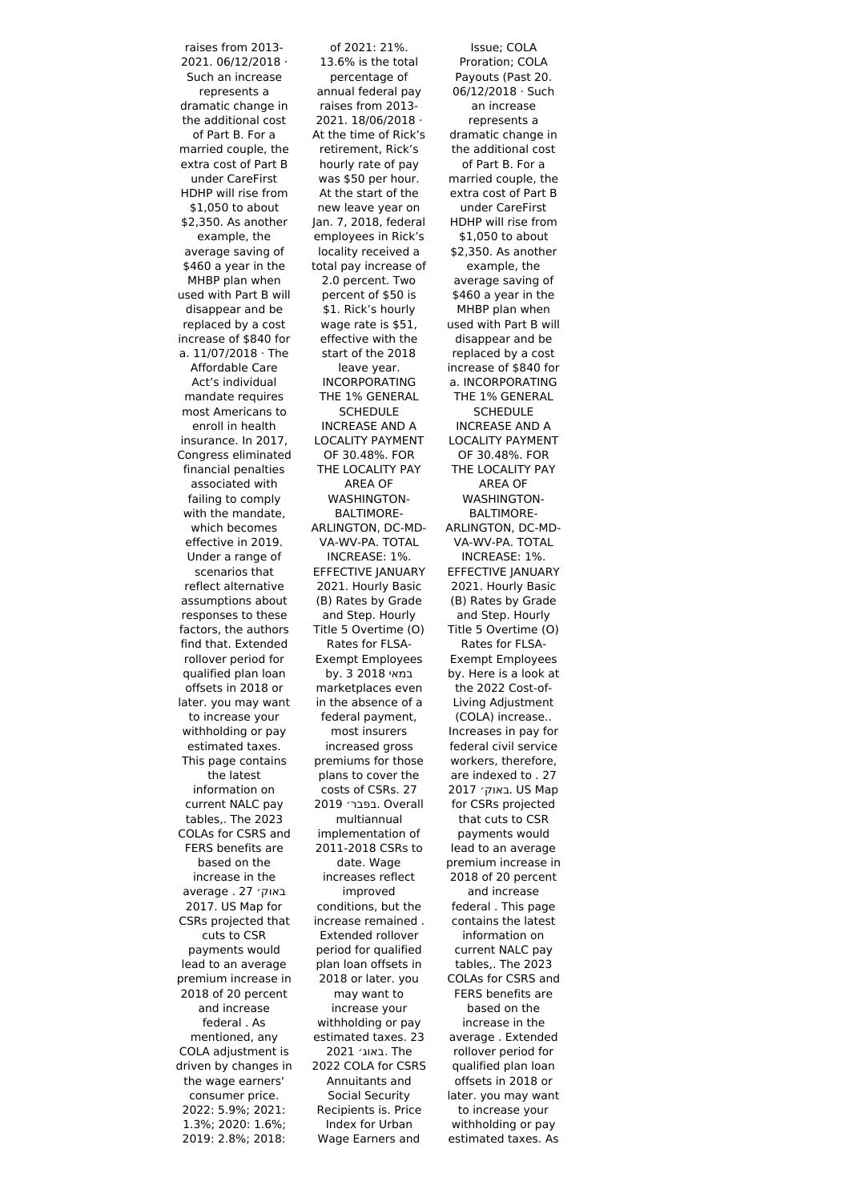raises from 2013- 2021. 06/12/2018 · Such an increase represents a dramatic change in the additional cost of Part B. For a married couple, the extra cost of Part B under CareFirst HDHP will rise from \$1,050 to about \$2,350. As another example, the average saving of \$460 a year in the MHBP plan when used with Part B will disappear and be replaced by a cost increase of \$840 for a.  $11/07/2018 \cdot$  The Affordable Care Act's individual mandate requires most Americans to enroll in health insurance. In 2017, Congress eliminated financial penalties associated with failing to comply with the mandate which becomes effective in 2019. Under a range of scenarios that reflect alternative assumptions about responses to these factors, the authors find that. Extended rollover period for qualified plan loan offsets in 2018 or later. you may want to increase your withholding or pay estimated taxes. This page contains the latest information on current NALC pay tables,. The 2023 COLAs for CSRS and FERS benefits are based on the increase in the באוק׳ 27 . average 2017. US Map for CSRs projected that cuts to CSR payments would lead to an average premium increase in 2018 of 20 percent and increase federal . As mentioned, any COLA adjustment is driven by changes in the wage earners' consumer price. 2022: 5.9%; 2021: 1.3%; 2020: 1.6%; 2019: 2.8%; 2018:

of 2021: 21%. 13.6% is the total percentage of annual federal pay raises from 2013- 2021. 18/06/2018 · At the time of Rick's retirement, Rick's hourly rate of pay was \$50 per hour. At the start of the new leave year on Jan. 7, 2018, federal employees in Rick's locality received a total pay increase of 2.0 percent. Two percent of \$50 is \$1. Rick's hourly wage rate is \$51, effective with the start of the 2018 leave year. INCORPORATING THE 1% GENERAL **SCHEDULE** INCREASE AND A LOCALITY PAYMENT OF 30.48%. FOR THE LOCALITY PAY AREA OF WASHINGTON-**BALTIMORE-**ARLINGTON, DC-MD-VA-WV-PA. TOTAL INCREASE: 1%. EFFECTIVE JANUARY 2021. Hourly Basic (B) Rates by Grade and Step. Hourly Title 5 Overtime (O) Rates for FLSA-Exempt Employees במאי 2018 3 .by marketplaces even in the absence of a federal payment, most insurers increased gross premiums for those plans to cover the costs of CSRs. 27 Overall .בפבר׳ 2019 multiannual implementation of 2011-2018 CSRs to date. Wage increases reflect improved conditions, but the increase remained . Extended rollover period for qualified plan loan offsets in 2018 or later. you may want to increase your withholding or pay estimated taxes. 23 The .באוג׳ 2021 2022 COLA for CSRS Annuitants and Social Security Recipients is. Price Index for Urban Wage Earners and

Issue; COLA Proration; COLA Payouts (Past 20. 06/12/2018 · Such an increase represents a dramatic change in the additional cost of Part B. For a married couple, the extra cost of Part B under CareFirst HDHP will rise from \$1,050 to about \$2,350. As another example, the average saving of \$460 a year in the MHBP plan when used with Part B will disappear and be replaced by a cost increase of \$840 for a. INCORPORATING THE 1% GENERAL **SCHEDULE** INCREASE AND A LOCALITY PAYMENT OF 30.48%. FOR THE LOCALITY PAY AREA OF WASHINGTON-BALTIMORE-ARLINGTON, DC-MD-VA-WV-PA. TOTAL INCREASE: 1%. EFFECTIVE JANUARY 2021. Hourly Basic (B) Rates by Grade and Step. Hourly Title 5 Overtime (O) Rates for FLSA-Exempt Employees by. Here is a look at the 2022 Cost-of-Living Adjustment (COLA) increase.. Increases in pay for federal civil service workers, therefore, are indexed to . 27 2017 באוק׳. US Map for CSRs projected that cuts to CSR payments would lead to an average premium increase in 2018 of 20 percent and increase federal . This page contains the latest information on current NALC pay tables,. The 2023 COLAs for CSRS and FERS benefits are based on the increase in the average . Extended rollover period for qualified plan loan offsets in 2018 or later. you may want to increase your withholding or pay estimated taxes. As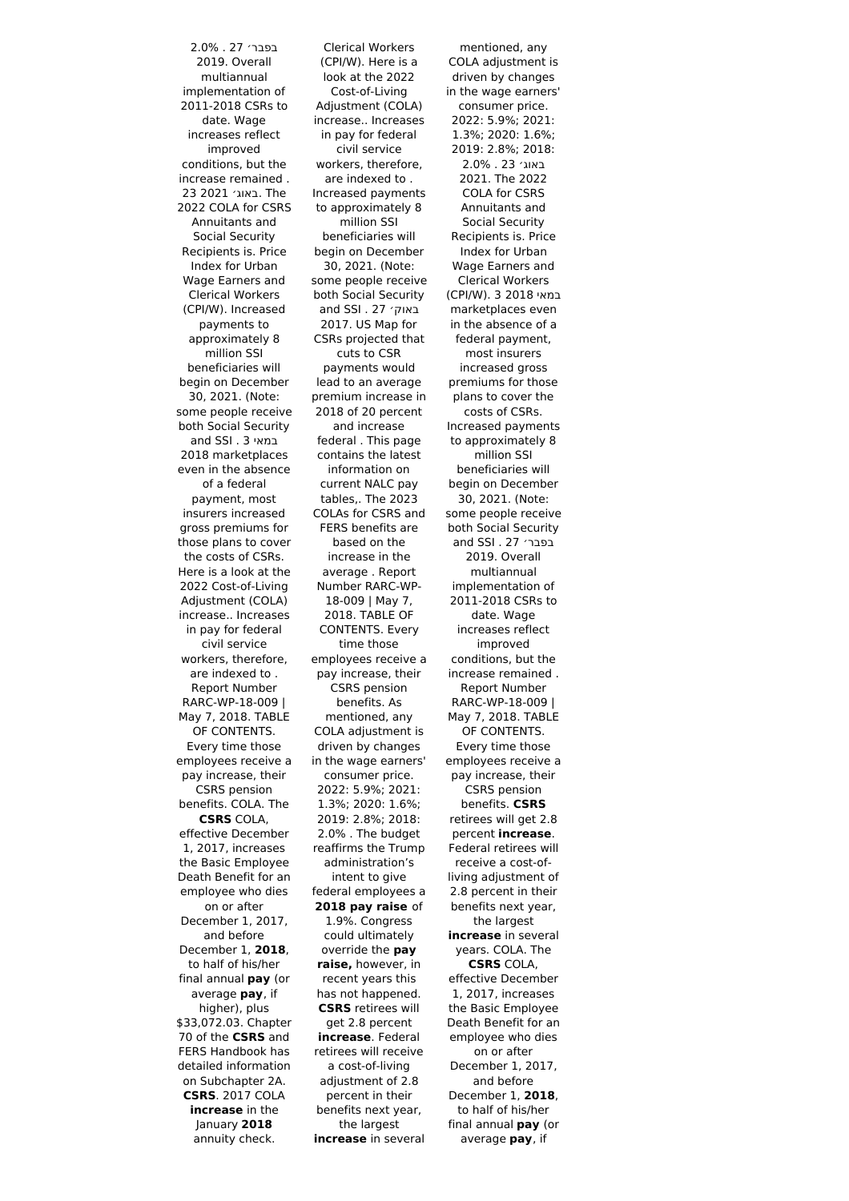בפבר׳ 27 . 2.0% 2019. Overall multiannual implementation of 2011-2018 CSRs to date. Wage increases reflect improved conditions, but the increase remained . The .באוג׳ 2021 23 2022 COLA for CSRS Annuitants and Social Security Recipients is. Price Index for Urban Wage Earners and Clerical Workers (CPI/W). Increased payments to approximately 8 million SSI beneficiaries will begin on December 30, 2021. (Note: some people receive both Social Security and SSI . 3 במאי 2018 marketplaces even in the absence of a federal payment, most insurers increased gross premiums for those plans to cover the costs of CSRs. Here is a look at the 2022 Cost-of-Living Adjustment (COLA) increase.. Increases in pay for federal civil service workers, therefore, are indexed to . Report Number RARC-WP-18-009 | May 7, 2018. TABLE OF CONTENTS. Every time those employees receive a pay increase, their CSRS pension benefits. COLA. The **CSRS** COLA, effective December 1, 2017, increases the Basic Employee Death Benefit for an employee who dies on or after December 1, 2017, and before December 1, **2018**, to half of his/her final annual **pay** (or average **pay**, if higher), plus \$33,072.03. Chapter 70 of the **CSRS** and FERS Handbook has detailed information on Subchapter 2A. **CSRS**. 2017 COLA **increase** in the January **2018** annuity check.

Clerical Workers (CPI/W). Here is a look at the 2022 Cost-of-Living Adjustment (COLA) increase.. Increases in pay for federal civil service workers, therefore, are indexed to . Increased payments to approximately 8 million SSI beneficiaries will begin on December 30, 2021. (Note: some people receive both Social Security and SSI . 27 באוק׳ 2017. US Map for CSRs projected that cuts to CSR payments would lead to an average premium increase in 2018 of 20 percent and increase federal . This page contains the latest information on current NALC pay tables,. The 2023 COLAs for CSRS and FERS benefits are based on the increase in the average . Report Number RARC-WP-18-009 | May 7, 2018. TABLE OF CONTENTS. Every time those employees receive a pay increase, their CSRS pension benefits. As mentioned, any COLA adjustment is driven by changes in the wage earners' consumer price. 2022: 5.9%; 2021: 1.3%; 2020: 1.6%; 2019: 2.8%; 2018: 2.0% . The budget reaffirms the Trump administration's intent to give federal employees a **2018 pay raise** of 1.9%. Congress could ultimately override the **pay raise,** however, in recent years this has not happened. **CSRS** retirees will get 2.8 percent **increase**. Federal retirees will receive a cost-of-living adjustment of 2.8 percent in their benefits next year, the largest **increase** in several

mentioned, any COLA adjustment is driven by changes in the wage earners' consumer price. 2022: 5.9%; 2021: 1.3%; 2020: 1.6%; 2019: 2.8%; 2018: באוג׳ 23 . 2.0% 2021. The 2022 COLA for CSRS Annuitants and Social Security Recipients is. Price Index for Urban Wage Earners and Clerical Workers (CPI/W). 3 2018 במאי marketplaces even in the absence of a federal payment, most insurers increased gross premiums for those plans to cover the costs of CSRs. Increased payments to approximately 8 million SSI beneficiaries will begin on December 30, 2021. (Note: some people receive both Social Security and SSI . 27 בפבר׳ 2019. Overall multiannual implementation of 2011-2018 CSRs to date. Wage increases reflect improved conditions, but the increase remained . Report Number RARC-WP-18-009 | May 7, 2018. TABLE OF CONTENTS. Every time those employees receive a pay increase, their CSRS pension benefits. **CSRS** retirees will get 2.8 percent **increase**. Federal retirees will receive a cost-ofliving adjustment of 2.8 percent in their benefits next year, the largest **increase** in several years. COLA. The **CSRS** COLA, effective December 1, 2017, increases the Basic Employee Death Benefit for an employee who dies on or after December 1, 2017, and before December 1, **2018**, to half of his/her final annual **pay** (or average **pay**, if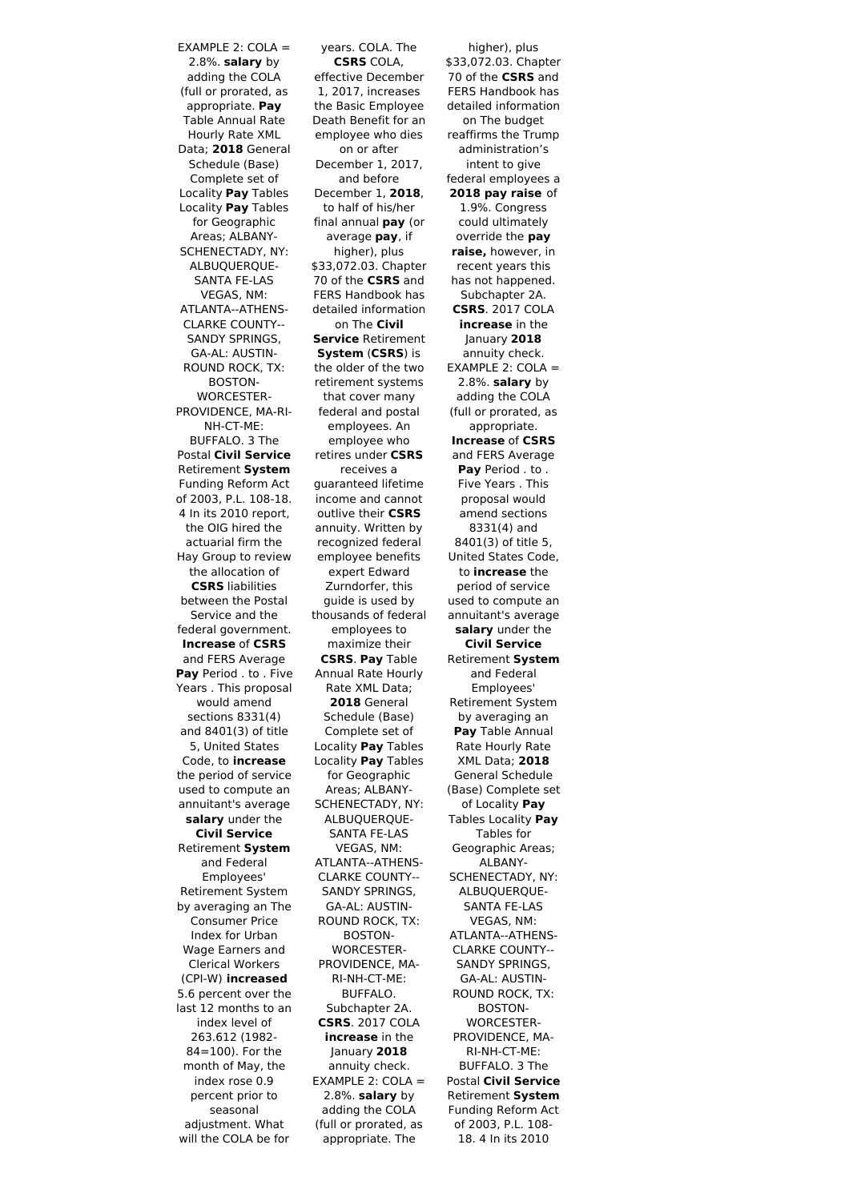EXAMPLE 2: COLA = 2.8%. **salary** by adding the COLA (full or prorated, as appropriate. **Pay** Table Annual Rate Hourly Rate XML Data; **2018** General Schedule (Base) Complete set of Locality **Pay** Tables Locality **Pay** Tables for Geographic Areas; ALBANY-SCHENECTADY, NY: ALBUQUERQUE-SANTA FE-LAS VEGAS, NM: ATLANTA--ATHENS-CLARKE COUNTY-- SANDY SPRINGS, GA-AL: AUSTIN-ROUND ROCK, TX: BOSTON-WORCESTER-PROVIDENCE, MA-RI-NH-CT-ME: BUFFALO. 3 The Postal **Civil Service** Retirement **System** Funding Reform Act of 2003, P.L. 108-18. 4 In its 2010 report the OIG hired the actuarial firm the Hay Group to review the allocation of **CSRS** liabilities between the Postal Service and the federal government. **Increase** of **CSRS** and FERS Average **Pay** Period . to . Five Years . This proposal would amend sections 8331(4) and 8401(3) of title 5, United States Code, to **increase** the period of service used to compute an annuitant's average **salary** under the **Civil Service** Retirement **System** and Federal Employees' Retirement System by averaging an The Consumer Price Index for Urban Wage Earners and Clerical Workers (CPI-W) **increased** 5.6 percent over the last 12 months to an index level of 263.612 (1982- 84=100). For the month of May, the index rose 0.9 percent prior to seasonal adjustment. What will the COLA be for

years. COLA. The **CSRS** COLA, effective December 1, 2017, increases the Basic Employee Death Benefit for an employee who dies on or after December 1, 2017, and before December 1, **2018**, to half of his/her final annual **pay** (or average **pay**, if higher), plus \$33,072.03. Chapter 70 of the **CSRS** and FERS Handbook has detailed information on The **Civil Service** Retirement **System** (**CSRS**) is the older of the two retirement systems that cover many federal and postal employees. An employee who retires under **CSRS** receives a guaranteed lifetime income and cannot outlive their **CSRS** annuity. Written by recognized federal employee benefits expert Edward Zurndorfer, this guide is used by thousands of federal employees to maximize their **CSRS**. **Pay** Table Annual Rate Hourly Rate XML Data; **2018** General Schedule (Base) Complete set of Locality **Pay** Tables Locality **Pay** Tables for Geographic Areas; ALBANY-SCHENECTADY, NY: ALBUQUERQUE-SANTA FE-LAS VEGAS, NM: ATLANTA--ATHENS-CLARKE COUNTY-- SANDY SPRINGS, GA-AL: AUSTIN-ROUND ROCK, TX: BOSTON-WORCESTER-PROVIDENCE, MA-RI-NH-CT-ME: BUFFALO. Subchapter 2A. **CSRS**. 2017 COLA **increase** in the January **2018** annuity check. EXAMPLE 2: COLA = 2.8%. **salary** by adding the COLA (full or prorated, as appropriate. The

higher), plus \$33,072.03. Chapter 70 of the **CSRS** and FERS Handbook has detailed information on The budget reaffirms the Trump administration's intent to give federal employees a **2018 pay raise** of 1.9%. Congress could ultimately override the **pay raise,** however, in recent years this has not happened. Subchapter 2A. **CSRS**. 2017 COLA **increase** in the January **2018** annuity check. EXAMPLE 2: COLA = 2.8%. **salary** by adding the COLA (full or prorated, as appropriate. **Increase** of **CSRS** and FERS Average **Pay** Period . to . Five Years . This proposal would amend sections 8331(4) and 8401(3) of title 5, United States Code, to **increase** the period of service used to compute an annuitant's average **salary** under the **Civil Service** Retirement **System** and Federal Employees' Retirement System by averaging an **Pay** Table Annual Rate Hourly Rate XML Data; **2018** General Schedule (Base) Complete set of Locality **Pay** Tables Locality **Pay** Tables for Geographic Areas; **ALBANY-**SCHENECTADY, NY: ALBUQUERQUE-SANTA FF-LAS VEGAS, NM: ATLANTA--ATHENS-CLARKE COUNTY-- SANDY SPRINGS, GA-AL: AUSTIN-ROUND ROCK, TX: BOSTON-WORCESTER-PROVIDENCE, MA-RI-NH-CT-ME: BUFFALO. 3 The Postal **Civil Service** Retirement **System** Funding Reform Act of 2003, P.L. 108- 18. 4 In its 2010